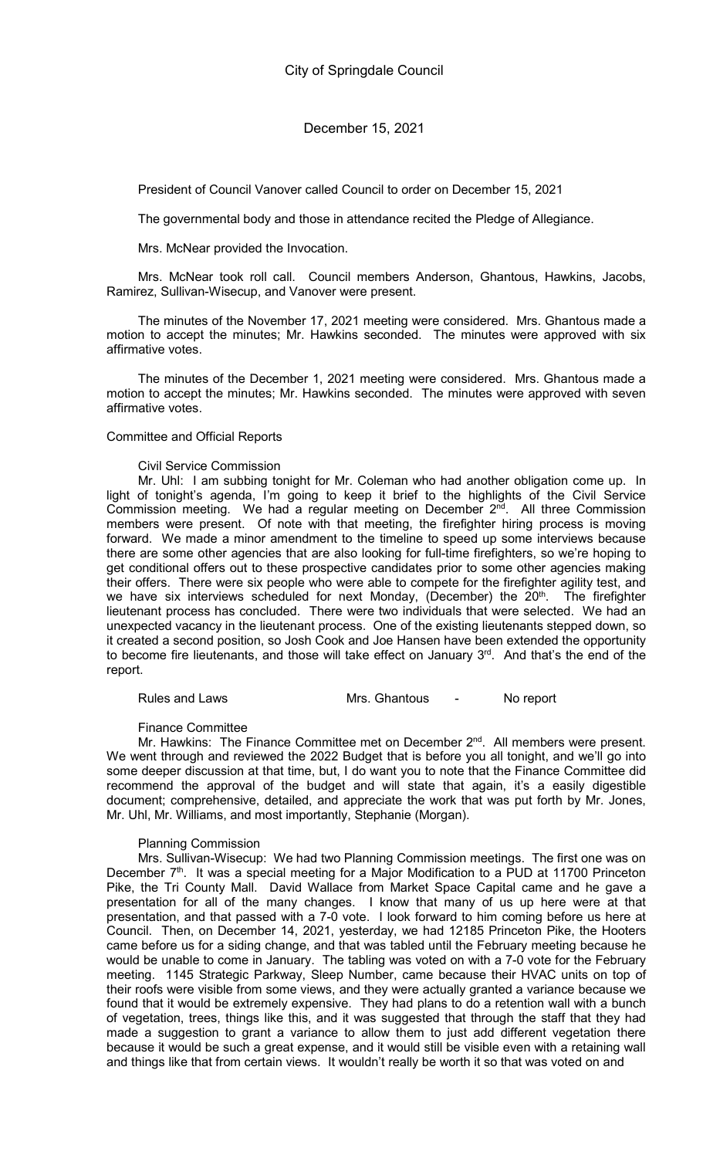President of Council Vanover called Council to order on December 15, 2021

The governmental body and those in attendance recited the Pledge of Allegiance.

Mrs. McNear provided the Invocation.

Mrs. McNear took roll call. Council members Anderson, Ghantous, Hawkins, Jacobs, Ramirez, Sullivan-Wisecup, and Vanover were present.

The minutes of the November 17, 2021 meeting were considered. Mrs. Ghantous made a motion to accept the minutes; Mr. Hawkins seconded. The minutes were approved with six affirmative votes.

The minutes of the December 1, 2021 meeting were considered. Mrs. Ghantous made a motion to accept the minutes; Mr. Hawkins seconded. The minutes were approved with seven affirmative votes.

#### Committee and Official Reports

#### Civil Service Commission

Mr. Uhl: I am subbing tonight for Mr. Coleman who had another obligation come up. In light of tonight's agenda, I'm going to keep it brief to the highlights of the Civil Service Commission meeting. We had a regular meeting on December 2<sup>nd</sup>. All three Commission members were present. Of note with that meeting, the firefighter hiring process is moving forward. We made a minor amendment to the timeline to speed up some interviews because there are some other agencies that are also looking for full-time firefighters, so we're hoping to get conditional offers out to these prospective candidates prior to some other agencies making their offers. There were six people who were able to compete for the firefighter agility test, and we have six interviews scheduled for next Monday, (December) the 20<sup>th</sup>. The firefighter lieutenant process has concluded. There were two individuals that were selected. We had an unexpected vacancy in the lieutenant process. One of the existing lieutenants stepped down, so it created a second position, so Josh Cook and Joe Hansen have been extended the opportunity to become fire lieutenants, and those will take effect on January 3<sup>rd</sup>. And that's the end of the report.

Rules and Laws **Mrs. Ghantous** - No report

Finance Committee

Mr. Hawkins: The Finance Committee met on December 2<sup>nd</sup>. All members were present. We went through and reviewed the 2022 Budget that is before you all tonight, and we'll go into some deeper discussion at that time, but, I do want you to note that the Finance Committee did recommend the approval of the budget and will state that again, it's a easily digestible document; comprehensive, detailed, and appreciate the work that was put forth by Mr. Jones, Mr. Uhl, Mr. Williams, and most importantly, Stephanie (Morgan).

#### Planning Commission

Mrs. Sullivan-Wisecup: We had two Planning Commission meetings. The first one was on December 7<sup>th</sup>. It was a special meeting for a Major Modification to a PUD at 11700 Princeton Pike, the Tri County Mall. David Wallace from Market Space Capital came and he gave a presentation for all of the many changes. I know that many of us up here were at that presentation, and that passed with a 7-0 vote. I look forward to him coming before us here at Council. Then, on December 14, 2021, yesterday, we had 12185 Princeton Pike, the Hooters came before us for a siding change, and that was tabled until the February meeting because he would be unable to come in January. The tabling was voted on with a 7-0 vote for the February meeting. 1145 Strategic Parkway, Sleep Number, came because their HVAC units on top of their roofs were visible from some views, and they were actually granted a variance because we found that it would be extremely expensive. They had plans to do a retention wall with a bunch of vegetation, trees, things like this, and it was suggested that through the staff that they had made a suggestion to grant a variance to allow them to just add different vegetation there because it would be such a great expense, and it would still be visible even with a retaining wall and things like that from certain views. It wouldn't really be worth it so that was voted on and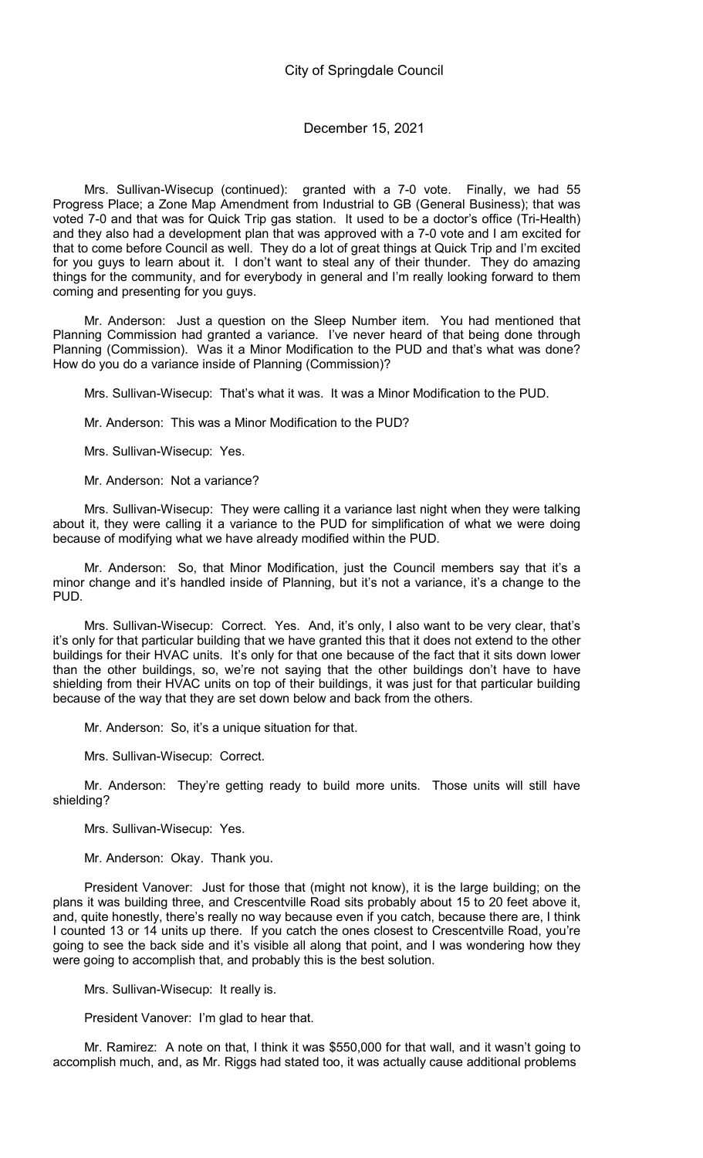Mrs. Sullivan-Wisecup (continued): granted with a 7-0 vote. Finally, we had 55 Progress Place; a Zone Map Amendment from Industrial to GB (General Business); that was voted 7-0 and that was for Quick Trip gas station. It used to be a doctor's office (Tri-Health) and they also had a development plan that was approved with a 7-0 vote and I am excited for that to come before Council as well. They do a lot of great things at Quick Trip and I'm excited for you guys to learn about it. I don't want to steal any of their thunder. They do amazing things for the community, and for everybody in general and I'm really looking forward to them coming and presenting for you guys.

Mr. Anderson: Just a question on the Sleep Number item. You had mentioned that Planning Commission had granted a variance. I've never heard of that being done through Planning (Commission). Was it a Minor Modification to the PUD and that's what was done? How do you do a variance inside of Planning (Commission)?

Mrs. Sullivan-Wisecup: That's what it was. It was a Minor Modification to the PUD.

Mr. Anderson: This was a Minor Modification to the PUD?

Mrs. Sullivan-Wisecup: Yes.

Mr. Anderson: Not a variance?

Mrs. Sullivan-Wisecup: They were calling it a variance last night when they were talking about it, they were calling it a variance to the PUD for simplification of what we were doing because of modifying what we have already modified within the PUD.

Mr. Anderson: So, that Minor Modification, just the Council members say that it's a minor change and it's handled inside of Planning, but it's not a variance, it's a change to the PUD.

Mrs. Sullivan-Wisecup: Correct. Yes. And, it's only, I also want to be very clear, that's it's only for that particular building that we have granted this that it does not extend to the other buildings for their HVAC units. It's only for that one because of the fact that it sits down lower than the other buildings, so, we're not saying that the other buildings don't have to have shielding from their HVAC units on top of their buildings, it was just for that particular building because of the way that they are set down below and back from the others.

Mr. Anderson: So, it's a unique situation for that.

Mrs. Sullivan-Wisecup: Correct.

Mr. Anderson: They're getting ready to build more units. Those units will still have shielding?

Mrs. Sullivan-Wisecup: Yes.

Mr. Anderson: Okay. Thank you.

President Vanover: Just for those that (might not know), it is the large building; on the plans it was building three, and Crescentville Road sits probably about 15 to 20 feet above it, and, quite honestly, there's really no way because even if you catch, because there are, I think I counted 13 or 14 units up there. If you catch the ones closest to Crescentville Road, you're going to see the back side and it's visible all along that point, and I was wondering how they were going to accomplish that, and probably this is the best solution.

Mrs. Sullivan-Wisecup: It really is.

President Vanover: I'm glad to hear that.

Mr. Ramirez: A note on that, I think it was \$550,000 for that wall, and it wasn't going to accomplish much, and, as Mr. Riggs had stated too, it was actually cause additional problems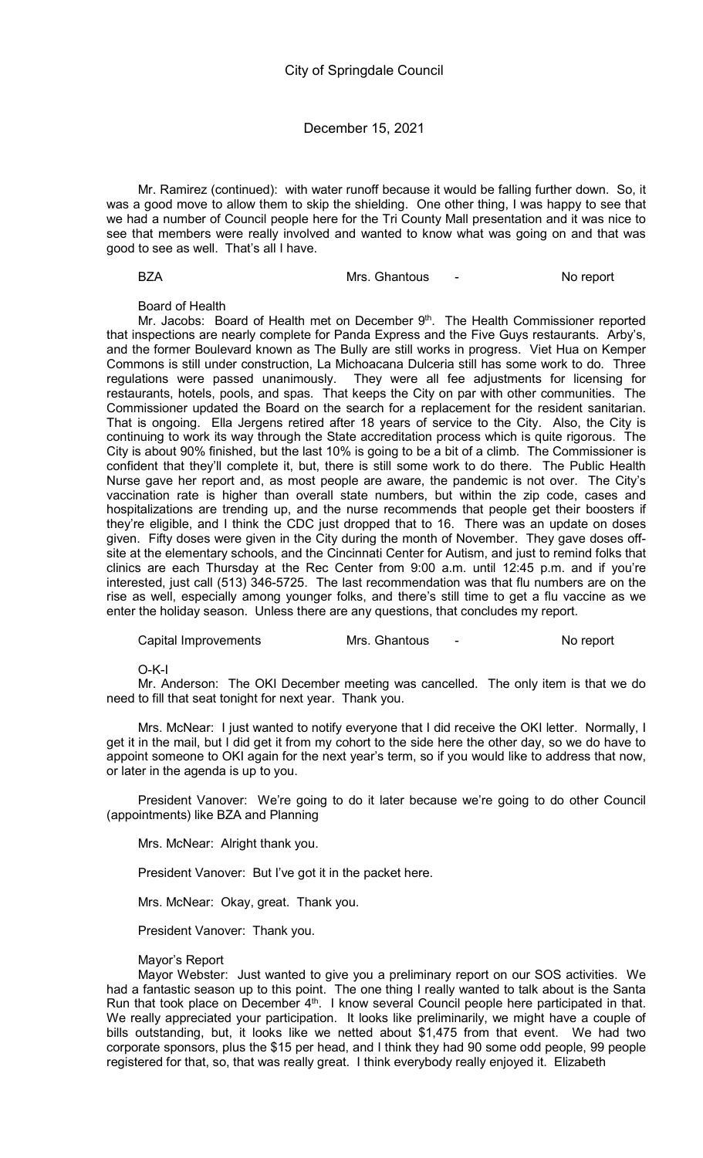Mr. Ramirez (continued): with water runoff because it would be falling further down. So, it was a good move to allow them to skip the shielding. One other thing, I was happy to see that we had a number of Council people here for the Tri County Mall presentation and it was nice to see that members were really involved and wanted to know what was going on and that was good to see as well. That's all I have.

|--|--|

BZA Mrs. Ghantous - No report

#### Board of Health

Mr. Jacobs: Board of Health met on December 9<sup>th</sup>. The Health Commissioner reported that inspections are nearly complete for Panda Express and the Five Guys restaurants. Arby's, and the former Boulevard known as The Bully are still works in progress. Viet Hua on Kemper Commons is still under construction, La Michoacana Dulceria still has some work to do. Three regulations were passed unanimously. They were all fee adjustments for licensing for restaurants, hotels, pools, and spas. That keeps the City on par with other communities. The Commissioner updated the Board on the search for a replacement for the resident sanitarian. That is ongoing. Ella Jergens retired after 18 years of service to the City. Also, the City is continuing to work its way through the State accreditation process which is quite rigorous. The City is about 90% finished, but the last 10% is going to be a bit of a climb. The Commissioner is confident that they'll complete it, but, there is still some work to do there. The Public Health Nurse gave her report and, as most people are aware, the pandemic is not over. The City's vaccination rate is higher than overall state numbers, but within the zip code, cases and hospitalizations are trending up, and the nurse recommends that people get their boosters if they're eligible, and I think the CDC just dropped that to 16. There was an update on doses given. Fifty doses were given in the City during the month of November. They gave doses offsite at the elementary schools, and the Cincinnati Center for Autism, and just to remind folks that clinics are each Thursday at the Rec Center from 9:00 a.m. until 12:45 p.m. and if you're interested, just call (513) 346-5725. The last recommendation was that flu numbers are on the rise as well, especially among younger folks, and there's still time to get a flu vaccine as we enter the holiday season. Unless there are any questions, that concludes my report.

Capital Improvements Mrs. Ghantous - No report

#### O-K-I

Mr. Anderson: The OKI December meeting was cancelled. The only item is that we do need to fill that seat tonight for next year. Thank you.

Mrs. McNear: I just wanted to notify everyone that I did receive the OKI letter. Normally, I get it in the mail, but I did get it from my cohort to the side here the other day, so we do have to appoint someone to OKI again for the next year's term, so if you would like to address that now, or later in the agenda is up to you.

President Vanover: We're going to do it later because we're going to do other Council (appointments) like BZA and Planning

Mrs. McNear: Alright thank you.

President Vanover: But I've got it in the packet here.

Mrs. McNear: Okay, great. Thank you.

President Vanover: Thank you.

#### Mayor's Report

Mayor Webster: Just wanted to give you a preliminary report on our SOS activities. We had a fantastic season up to this point. The one thing I really wanted to talk about is the Santa Run that took place on December 4<sup>th</sup>. I know several Council people here participated in that. We really appreciated your participation. It looks like preliminarily, we might have a couple of bills outstanding, but, it looks like we netted about \$1,475 from that event. We had two corporate sponsors, plus the \$15 per head, and I think they had 90 some odd people, 99 people registered for that, so, that was really great. I think everybody really enjoyed it. Elizabeth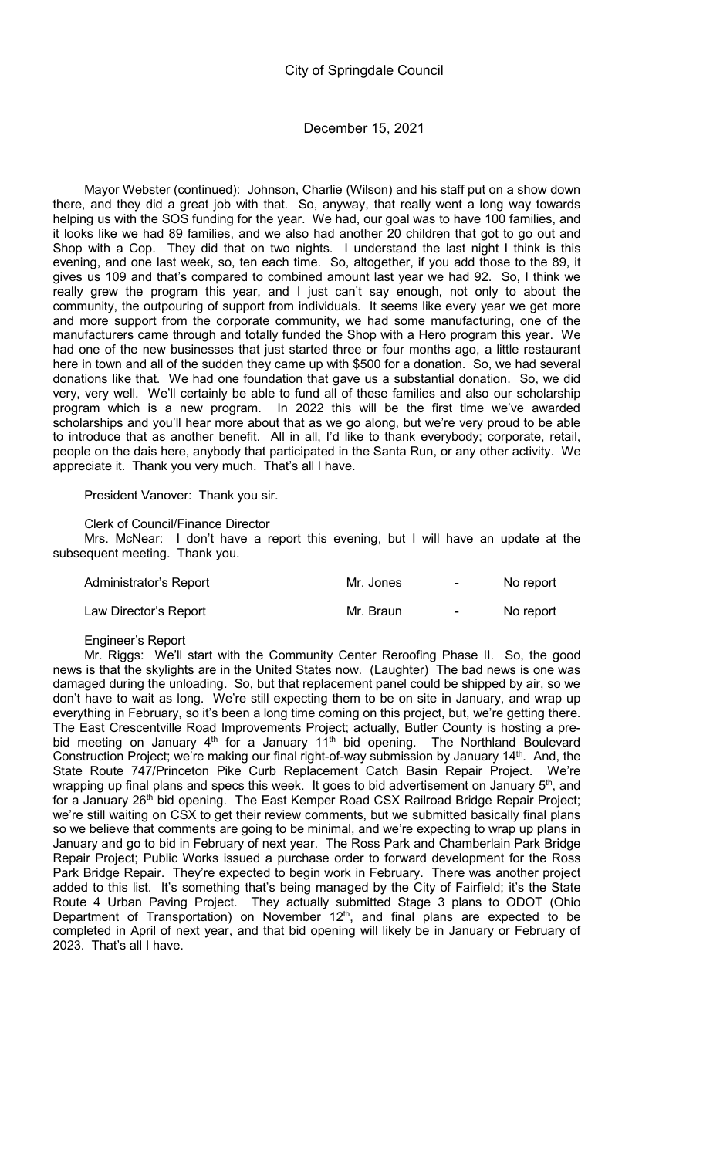Mayor Webster (continued): Johnson, Charlie (Wilson) and his staff put on a show down there, and they did a great job with that. So, anyway, that really went a long way towards helping us with the SOS funding for the year. We had, our goal was to have 100 families, and it looks like we had 89 families, and we also had another 20 children that got to go out and Shop with a Cop. They did that on two nights. I understand the last night I think is this evening, and one last week, so, ten each time. So, altogether, if you add those to the 89, it gives us 109 and that's compared to combined amount last year we had 92. So, I think we really grew the program this year, and I just can't say enough, not only to about the community, the outpouring of support from individuals. It seems like every year we get more and more support from the corporate community, we had some manufacturing, one of the manufacturers came through and totally funded the Shop with a Hero program this year. We had one of the new businesses that just started three or four months ago, a little restaurant here in town and all of the sudden they came up with \$500 for a donation. So, we had several donations like that. We had one foundation that gave us a substantial donation. So, we did very, very well. We'll certainly be able to fund all of these families and also our scholarship program which is a new program. In 2022 this will be the first time we've awarded scholarships and you'll hear more about that as we go along, but we're very proud to be able to introduce that as another benefit. All in all, I'd like to thank everybody; corporate, retail, people on the dais here, anybody that participated in the Santa Run, or any other activity. We appreciate it. Thank you very much. That's all I have.

President Vanover: Thank you sir.

#### Clerk of Council/Finance Director

Mrs. McNear: I don't have a report this evening, but I will have an update at the subsequent meeting. Thank you.

| Administrator's Report | Mr. Jones | $\sim$           | No report |
|------------------------|-----------|------------------|-----------|
| Law Director's Report  | Mr. Braun | $\sim$ 100 $\mu$ | No report |

## Engineer's Report

Mr. Riggs: We'll start with the Community Center Reroofing Phase II. So, the good news is that the skylights are in the United States now. (Laughter) The bad news is one was damaged during the unloading. So, but that replacement panel could be shipped by air, so we don't have to wait as long. We're still expecting them to be on site in January, and wrap up everything in February, so it's been a long time coming on this project, but, we're getting there. The East Crescentville Road Improvements Project; actually, Butler County is hosting a prebid meeting on January  $4<sup>th</sup>$  for a January  $11<sup>th</sup>$  bid opening. The Northland Boulevard Construction Project; we're making our final right-of-way submission by January 14<sup>th</sup>. And, the State Route 747/Princeton Pike Curb Replacement Catch Basin Repair Project. We're wrapping up final plans and specs this week. It goes to bid advertisement on January 5<sup>th</sup>, and for a January 26<sup>th</sup> bid opening. The East Kemper Road CSX Railroad Bridge Repair Project; we're still waiting on CSX to get their review comments, but we submitted basically final plans so we believe that comments are going to be minimal, and we're expecting to wrap up plans in January and go to bid in February of next year. The Ross Park and Chamberlain Park Bridge Repair Project; Public Works issued a purchase order to forward development for the Ross Park Bridge Repair. They're expected to begin work in February. There was another project added to this list. It's something that's being managed by the City of Fairfield; it's the State Route 4 Urban Paving Project. They actually submitted Stage 3 plans to ODOT (Ohio Department of Transportation) on November  $12<sup>th</sup>$ , and final plans are expected to be completed in April of next year, and that bid opening will likely be in January or February of 2023. That's all I have.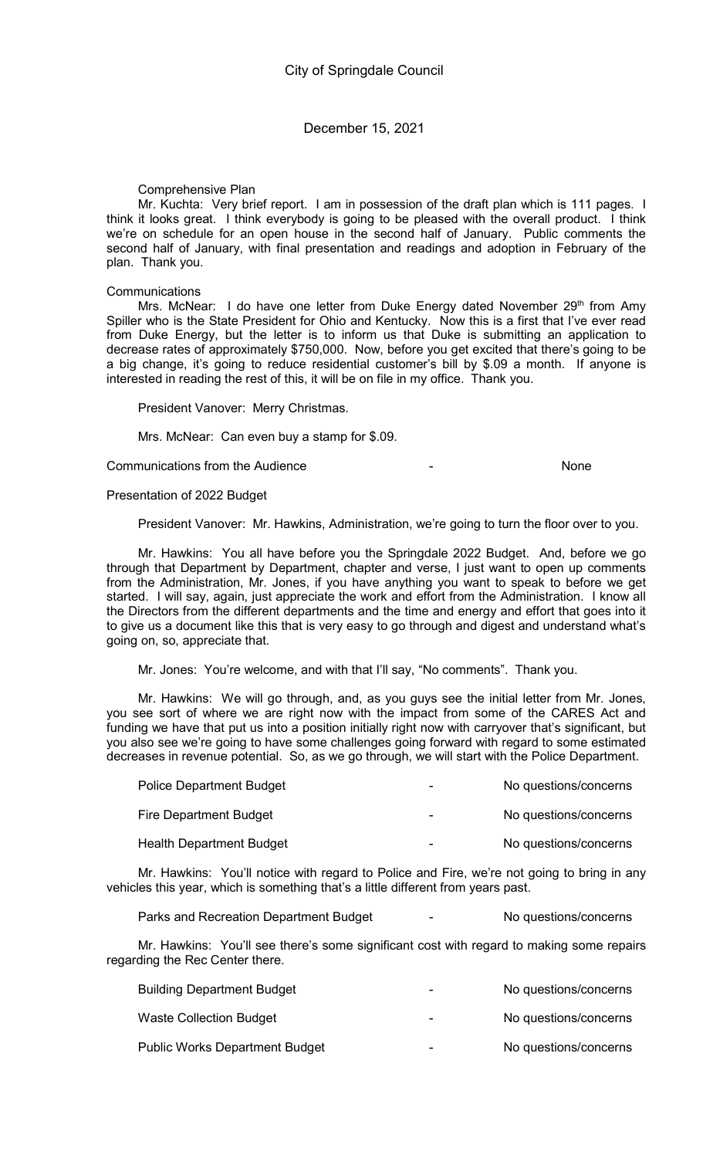Comprehensive Plan

Mr. Kuchta: Very brief report. I am in possession of the draft plan which is 111 pages. I think it looks great. I think everybody is going to be pleased with the overall product. I think we're on schedule for an open house in the second half of January. Public comments the second half of January, with final presentation and readings and adoption in February of the plan. Thank you.

#### **Communications**

Mrs. McNear: I do have one letter from Duke Energy dated November 29<sup>th</sup> from Amy Spiller who is the State President for Ohio and Kentucky. Now this is a first that I've ever read from Duke Energy, but the letter is to inform us that Duke is submitting an application to decrease rates of approximately \$750,000. Now, before you get excited that there's going to be a big change, it's going to reduce residential customer's bill by \$.09 a month. If anyone is interested in reading the rest of this, it will be on file in my office. Thank you.

President Vanover: Merry Christmas.

Mrs. McNear: Can even buy a stamp for \$.09.

Communications from the Audience - None

#### Presentation of 2022 Budget

President Vanover: Mr. Hawkins, Administration, we're going to turn the floor over to you.

Mr. Hawkins: You all have before you the Springdale 2022 Budget. And, before we go through that Department by Department, chapter and verse, I just want to open up comments from the Administration, Mr. Jones, if you have anything you want to speak to before we get started. I will say, again, just appreciate the work and effort from the Administration. I know all the Directors from the different departments and the time and energy and effort that goes into it to give us a document like this that is very easy to go through and digest and understand what's going on, so, appreciate that.

Mr. Jones: You're welcome, and with that I'll say, "No comments". Thank you.

Mr. Hawkins: We will go through, and, as you guys see the initial letter from Mr. Jones, you see sort of where we are right now with the impact from some of the CARES Act and funding we have that put us into a position initially right now with carryover that's significant, but you also see we're going to have some challenges going forward with regard to some estimated decreases in revenue potential. So, as we go through, we will start with the Police Department.

| <b>Police Department Budget</b> | No questions/concerns |
|---------------------------------|-----------------------|
| Fire Department Budget          | No questions/concerns |
| <b>Health Department Budget</b> | No questions/concerns |

Mr. Hawkins: You'll notice with regard to Police and Fire, we're not going to bring in any vehicles this year, which is something that's a little different from years past.

Parks and Recreation Department Budget The Concellent Recreation Sconcerns

Mr. Hawkins: You'll see there's some significant cost with regard to making some repairs regarding the Rec Center there.

| <b>Building Department Budget</b>     |   | No questions/concerns |
|---------------------------------------|---|-----------------------|
| <b>Waste Collection Budget</b>        | - | No questions/concerns |
| <b>Public Works Department Budget</b> | - | No questions/concerns |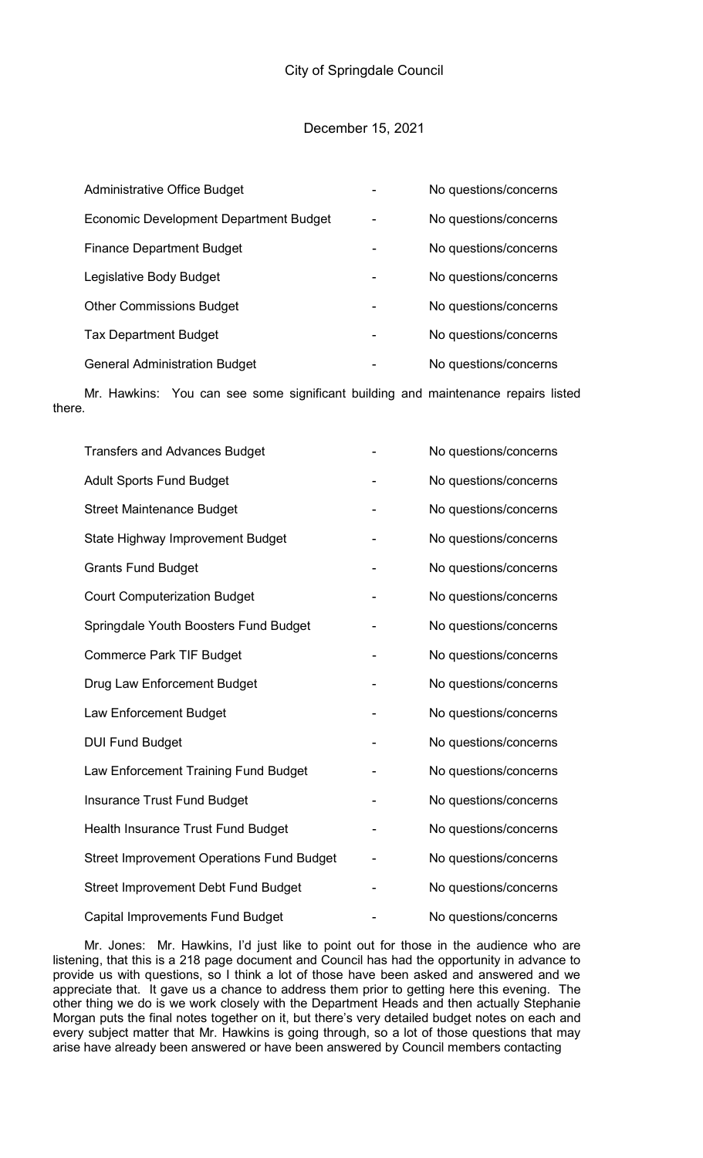| <b>Administrative Office Budget</b>           | No questions/concerns |
|-----------------------------------------------|-----------------------|
| <b>Economic Development Department Budget</b> | No questions/concerns |
| <b>Finance Department Budget</b>              | No questions/concerns |
| Legislative Body Budget                       | No questions/concerns |
| <b>Other Commissions Budget</b>               | No questions/concerns |
| <b>Tax Department Budget</b>                  | No questions/concerns |
| <b>General Administration Budget</b>          | No questions/concerns |

Mr. Hawkins: You can see some significant building and maintenance repairs listed there.

| <b>Transfers and Advances Budget</b>             | No questions/concerns |
|--------------------------------------------------|-----------------------|
| <b>Adult Sports Fund Budget</b>                  | No questions/concerns |
| <b>Street Maintenance Budget</b>                 | No questions/concerns |
| State Highway Improvement Budget                 | No questions/concerns |
| <b>Grants Fund Budget</b>                        | No questions/concerns |
| <b>Court Computerization Budget</b>              | No questions/concerns |
| Springdale Youth Boosters Fund Budget            | No questions/concerns |
| <b>Commerce Park TIF Budget</b>                  | No questions/concerns |
| Drug Law Enforcement Budget                      | No questions/concerns |
| Law Enforcement Budget                           | No questions/concerns |
| <b>DUI Fund Budget</b>                           | No questions/concerns |
| Law Enforcement Training Fund Budget             | No questions/concerns |
| <b>Insurance Trust Fund Budget</b>               | No questions/concerns |
| Health Insurance Trust Fund Budget               | No questions/concerns |
| <b>Street Improvement Operations Fund Budget</b> | No questions/concerns |
| <b>Street Improvement Debt Fund Budget</b>       | No questions/concerns |
| <b>Capital Improvements Fund Budget</b>          | No questions/concerns |

Mr. Jones: Mr. Hawkins, I'd just like to point out for those in the audience who are listening, that this is a 218 page document and Council has had the opportunity in advance to provide us with questions, so I think a lot of those have been asked and answered and we appreciate that. It gave us a chance to address them prior to getting here this evening. The other thing we do is we work closely with the Department Heads and then actually Stephanie Morgan puts the final notes together on it, but there's very detailed budget notes on each and every subject matter that Mr. Hawkins is going through, so a lot of those questions that may arise have already been answered or have been answered by Council members contacting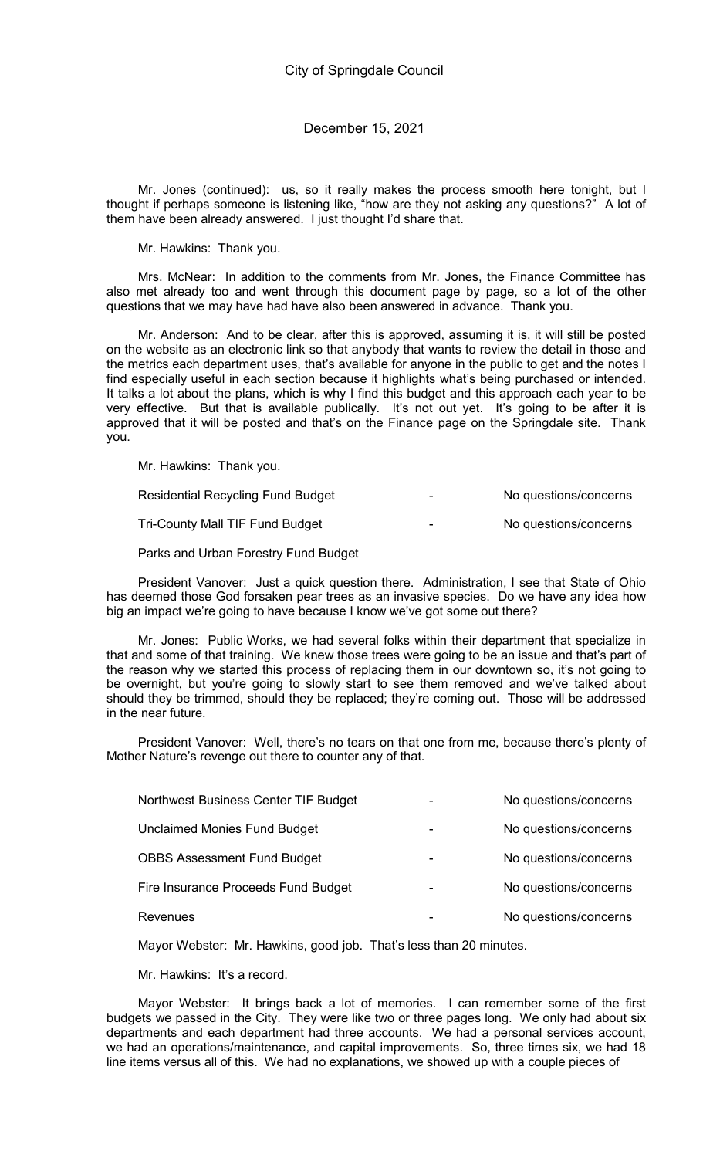Mr. Jones (continued): us, so it really makes the process smooth here tonight, but I thought if perhaps someone is listening like, "how are they not asking any questions?" A lot of them have been already answered. I just thought I'd share that.

Mr. Hawkins: Thank you.

Mrs. McNear: In addition to the comments from Mr. Jones, the Finance Committee has also met already too and went through this document page by page, so a lot of the other questions that we may have had have also been answered in advance. Thank you.

Mr. Anderson: And to be clear, after this is approved, assuming it is, it will still be posted on the website as an electronic link so that anybody that wants to review the detail in those and the metrics each department uses, that's available for anyone in the public to get and the notes I find especially useful in each section because it highlights what's being purchased or intended. It talks a lot about the plans, which is why I find this budget and this approach each year to be very effective. But that is available publically. It's not out yet. It's going to be after it is approved that it will be posted and that's on the Finance page on the Springdale site. Thank you.

Mr. Hawkins: Thank you.

| Residential Recycling Fund Budget | - | No questions/concerns |
|-----------------------------------|---|-----------------------|
| Tri-County Mall TIF Fund Budget   | - | No questions/concerns |

Parks and Urban Forestry Fund Budget

President Vanover: Just a quick question there. Administration, I see that State of Ohio has deemed those God forsaken pear trees as an invasive species. Do we have any idea how big an impact we're going to have because I know we've got some out there?

Mr. Jones: Public Works, we had several folks within their department that specialize in that and some of that training. We knew those trees were going to be an issue and that's part of the reason why we started this process of replacing them in our downtown so, it's not going to be overnight, but you're going to slowly start to see them removed and we've talked about should they be trimmed, should they be replaced; they're coming out. Those will be addressed in the near future.

President Vanover: Well, there's no tears on that one from me, because there's plenty of Mother Nature's revenge out there to counter any of that.

| Northwest Business Center TIF Budget | No questions/concerns |
|--------------------------------------|-----------------------|
| <b>Unclaimed Monies Fund Budget</b>  | No questions/concerns |
| <b>OBBS Assessment Fund Budget</b>   | No questions/concerns |
| Fire Insurance Proceeds Fund Budget  | No questions/concerns |
| <b>Revenues</b>                      | No questions/concerns |

Mayor Webster: Mr. Hawkins, good job. That's less than 20 minutes.

Mr. Hawkins: It's a record.

Mayor Webster: It brings back a lot of memories. I can remember some of the first budgets we passed in the City. They were like two or three pages long. We only had about six departments and each department had three accounts. We had a personal services account, we had an operations/maintenance, and capital improvements. So, three times six, we had 18 line items versus all of this. We had no explanations, we showed up with a couple pieces of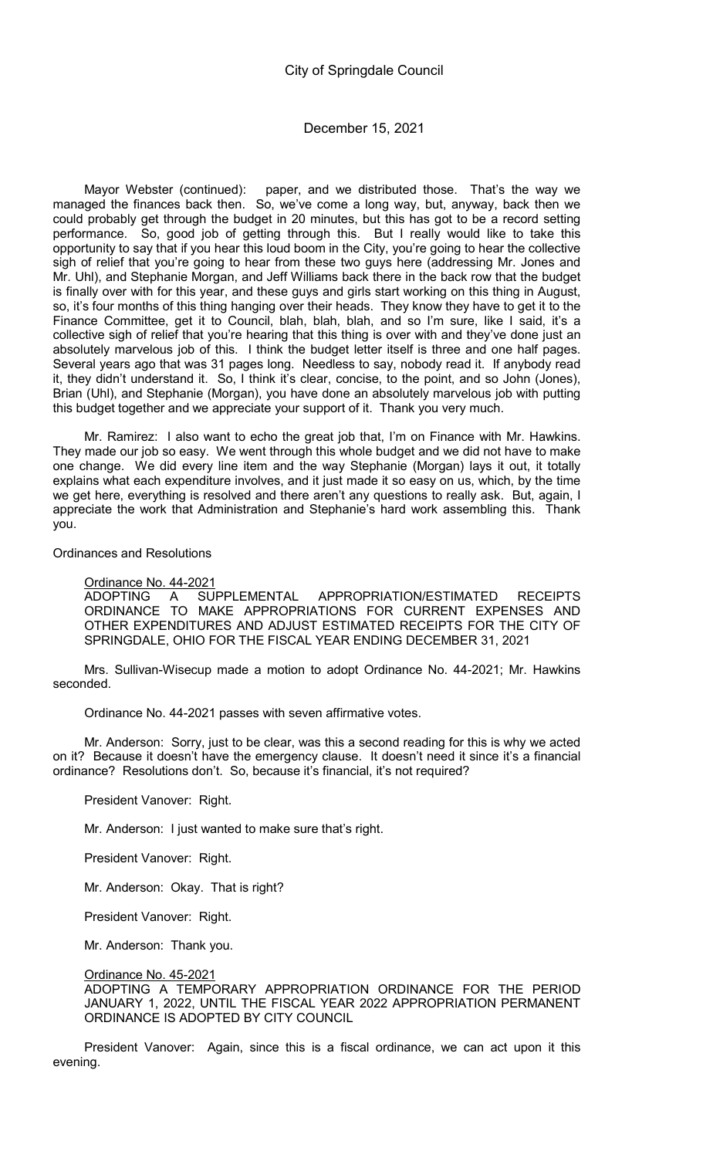Mayor Webster (continued): paper, and we distributed those. That's the way we managed the finances back then. So, we've come a long way, but, anyway, back then we could probably get through the budget in 20 minutes, but this has got to be a record setting performance. So, good job of getting through this. But I really would like to take this opportunity to say that if you hear this loud boom in the City, you're going to hear the collective sigh of relief that you're going to hear from these two guys here (addressing Mr. Jones and Mr. Uhl), and Stephanie Morgan, and Jeff Williams back there in the back row that the budget is finally over with for this year, and these guys and girls start working on this thing in August, so, it's four months of this thing hanging over their heads. They know they have to get it to the Finance Committee, get it to Council, blah, blah, blah, and so I'm sure, like I said, it's a collective sigh of relief that you're hearing that this thing is over with and they've done just an absolutely marvelous job of this. I think the budget letter itself is three and one half pages. Several years ago that was 31 pages long. Needless to say, nobody read it. If anybody read it, they didn't understand it. So, I think it's clear, concise, to the point, and so John (Jones), Brian (Uhl), and Stephanie (Morgan), you have done an absolutely marvelous job with putting this budget together and we appreciate your support of it. Thank you very much.

Mr. Ramirez: I also want to echo the great job that, I'm on Finance with Mr. Hawkins. They made our job so easy. We went through this whole budget and we did not have to make one change. We did every line item and the way Stephanie (Morgan) lays it out, it totally explains what each expenditure involves, and it just made it so easy on us, which, by the time we get here, everything is resolved and there aren't any questions to really ask. But, again, I appreciate the work that Administration and Stephanie's hard work assembling this. Thank you.

## Ordinances and Resolutions

# Ordinance No. 44-2021

ADOPTING A SUPPLEMENTAL APPROPRIATION/ESTIMATED RECEIPTS ORDINANCE TO MAKE APPROPRIATIONS FOR CURRENT EXPENSES AND OTHER EXPENDITURES AND ADJUST ESTIMATED RECEIPTS FOR THE CITY OF SPRINGDALE, OHIO FOR THE FISCAL YEAR ENDING DECEMBER 31, 2021

Mrs. Sullivan-Wisecup made a motion to adopt Ordinance No. 44-2021; Mr. Hawkins seconded.

Ordinance No. 44-2021 passes with seven affirmative votes.

Mr. Anderson: Sorry, just to be clear, was this a second reading for this is why we acted on it? Because it doesn't have the emergency clause. It doesn't need it since it's a financial ordinance? Resolutions don't. So, because it's financial, it's not required?

President Vanover: Right.

Mr. Anderson: I just wanted to make sure that's right.

President Vanover: Right.

Mr. Anderson: Okay. That is right?

President Vanover: Right.

Mr. Anderson: Thank you.

# Ordinance No. 45-2021

ADOPTING A TEMPORARY APPROPRIATION ORDINANCE FOR THE PERIOD JANUARY 1, 2022, UNTIL THE FISCAL YEAR 2022 APPROPRIATION PERMANENT ORDINANCE IS ADOPTED BY CITY COUNCIL

President Vanover: Again, since this is a fiscal ordinance, we can act upon it this evening.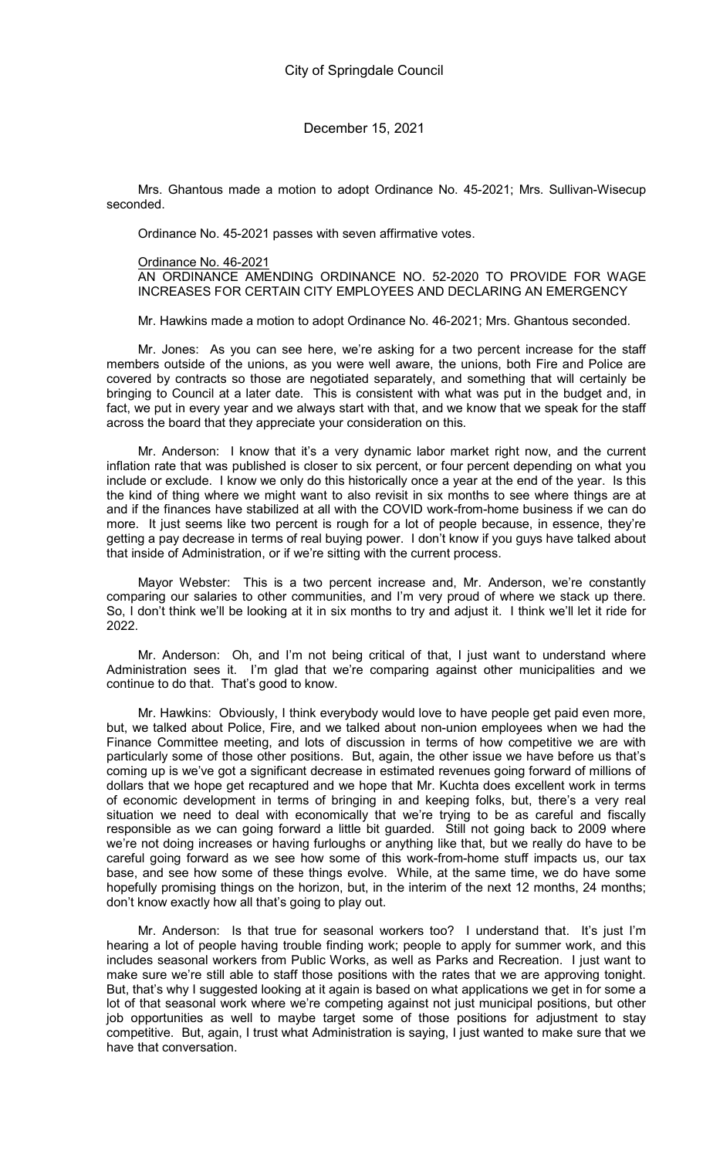Mrs. Ghantous made a motion to adopt Ordinance No. 45-2021; Mrs. Sullivan-Wisecup seconded.

Ordinance No. 45-2021 passes with seven affirmative votes.

# Ordinance No. 46-2021

AN ORDINANCE AMENDING ORDINANCE NO. 52-2020 TO PROVIDE FOR WAGE INCREASES FOR CERTAIN CITY EMPLOYEES AND DECLARING AN EMERGENCY

Mr. Hawkins made a motion to adopt Ordinance No. 46-2021; Mrs. Ghantous seconded.

Mr. Jones: As you can see here, we're asking for a two percent increase for the staff members outside of the unions, as you were well aware, the unions, both Fire and Police are covered by contracts so those are negotiated separately, and something that will certainly be bringing to Council at a later date. This is consistent with what was put in the budget and, in fact, we put in every year and we always start with that, and we know that we speak for the staff across the board that they appreciate your consideration on this.

Mr. Anderson: I know that it's a very dynamic labor market right now, and the current inflation rate that was published is closer to six percent, or four percent depending on what you include or exclude. I know we only do this historically once a year at the end of the year. Is this the kind of thing where we might want to also revisit in six months to see where things are at and if the finances have stabilized at all with the COVID work-from-home business if we can do more. It just seems like two percent is rough for a lot of people because, in essence, they're getting a pay decrease in terms of real buying power. I don't know if you guys have talked about that inside of Administration, or if we're sitting with the current process.

Mayor Webster: This is a two percent increase and, Mr. Anderson, we're constantly comparing our salaries to other communities, and I'm very proud of where we stack up there. So, I don't think we'll be looking at it in six months to try and adjust it. I think we'll let it ride for 2022.

Mr. Anderson: Oh, and I'm not being critical of that, I just want to understand where Administration sees it. I'm glad that we're comparing against other municipalities and we continue to do that. That's good to know.

Mr. Hawkins: Obviously, I think everybody would love to have people get paid even more, but, we talked about Police, Fire, and we talked about non-union employees when we had the Finance Committee meeting, and lots of discussion in terms of how competitive we are with particularly some of those other positions. But, again, the other issue we have before us that's coming up is we've got a significant decrease in estimated revenues going forward of millions of dollars that we hope get recaptured and we hope that Mr. Kuchta does excellent work in terms of economic development in terms of bringing in and keeping folks, but, there's a very real situation we need to deal with economically that we're trying to be as careful and fiscally responsible as we can going forward a little bit guarded. Still not going back to 2009 where we're not doing increases or having furloughs or anything like that, but we really do have to be careful going forward as we see how some of this work-from-home stuff impacts us, our tax base, and see how some of these things evolve. While, at the same time, we do have some hopefully promising things on the horizon, but, in the interim of the next 12 months, 24 months; don't know exactly how all that's going to play out.

Mr. Anderson: Is that true for seasonal workers too? I understand that. It's just I'm hearing a lot of people having trouble finding work; people to apply for summer work, and this includes seasonal workers from Public Works, as well as Parks and Recreation. I just want to make sure we're still able to staff those positions with the rates that we are approving tonight. But, that's why I suggested looking at it again is based on what applications we get in for some a lot of that seasonal work where we're competing against not just municipal positions, but other job opportunities as well to maybe target some of those positions for adjustment to stay competitive. But, again, I trust what Administration is saying, I just wanted to make sure that we have that conversation.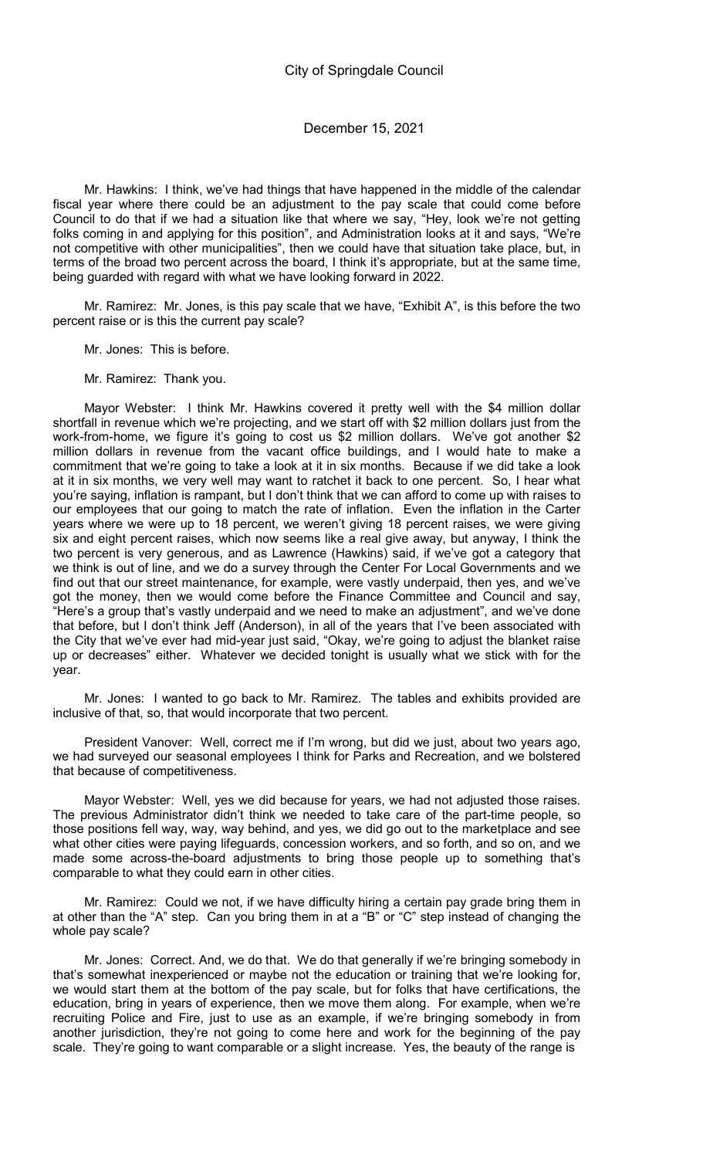Mr. Hawkins: I think, we've had things that have happened in the middle of the calendar fiscal year where there could be an adjustment to the pay scale that could come before Council to do that if we had a situation like that where we say, "Hey, look we're not getting folks coming in and applying for this position", and Administration looks at it and says, "We're not competitive with other municipalities", then we could have that situation take place, but, in terms of the broad two percent across the board, I think it's appropriate, but at the same time, being guarded with regard with what we have looking forward in 2022.

Mr. Ramirez: Mr. Jones, is this pay scale that we have, "Exhibit A", is this before the two percent raise or is this the current pay scale?

Mr. Jones: This is before.

Mr. Ramirez: Thank you.

Mayor Webster: I think Mr. Hawkins covered it pretty well with the \$4 million dollar shortfall in revenue which we're projecting, and we start off with \$2 million dollars just from the work-from-home, we figure it's going to cost us \$2 million dollars. We've got another \$2 million dollars in revenue from the vacant office buildings, and I would hate to make a commitment that we're going to take a look at it in six months. Because if we did take a look at it in six months, we very well may want to ratchet it back to one percent. So, I hear what you're saying, inflation is rampant, but I don't think that we can afford to come up with raises to our employees that our going to match the rate of inflation. Even the inflation in the Carter years where we were up to 18 percent, we weren't giving 18 percent raises, we were giving six and eight percent raises, which now seems like a real give away, but anyway, I think the two percent is very generous, and as Lawrence (Hawkins) said, if we've got a category that we think is out of line, and we do a survey through the Center For Local Governments and we find out that our street maintenance, for example, were vastly underpaid, then yes, and we've got the money, then we would come before the Finance Committee and Council and say, "Here's a group that's vastly underpaid and we need to make an adjustment", and we've done that before, but I don't think Jeff (Anderson), in all of the years that I've been associated with the City that we've ever had mid-year just said, "Okay, we're going to adjust the blanket raise up or decreases" either. Whatever we decided tonight is usually what we stick with for the year.

Mr. Jones: I wanted to go back to Mr. Ramirez. The tables and exhibits provided are inclusive of that, so, that would incorporate that two percent.

President Vanover: Well, correct me if I'm wrong, but did we just, about two years ago, we had surveyed our seasonal employees I think for Parks and Recreation, and we bolstered that because of competitiveness.

Mayor Webster: Well, yes we did because for years, we had not adjusted those raises. The previous Administrator didn't think we needed to take care of the part-time people, so those positions fell way, way, way behind, and yes, we did go out to the marketplace and see what other cities were paying lifeguards, concession workers, and so forth, and so on, and we made some across-the-board adjustments to bring those people up to something that's comparable to what they could earn in other cities.

Mr. Ramirez: Could we not, if we have difficulty hiring a certain pay grade bring them in at other than the "A" step. Can you bring them in at a "B" or "C" step instead of changing the whole pay scale?

Mr. Jones: Correct. And, we do that. We do that generally if we're bringing somebody in that's somewhat inexperienced or maybe not the education or training that we're looking for, we would start them at the bottom of the pay scale, but for folks that have certifications, the education, bring in years of experience, then we move them along. For example, when we're recruiting Police and Fire, just to use as an example, if we're bringing somebody in from another jurisdiction, they're not going to come here and work for the beginning of the pay scale. They're going to want comparable or a slight increase. Yes, the beauty of the range is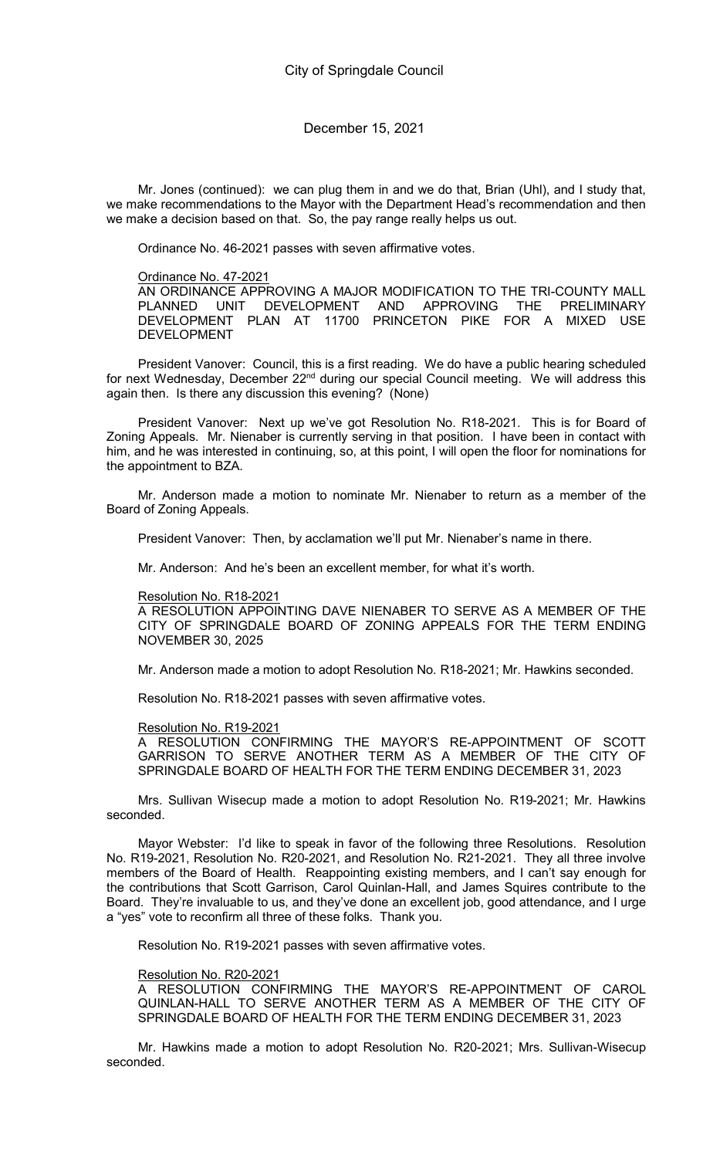Mr. Jones (continued): we can plug them in and we do that, Brian (Uhl), and I study that, we make recommendations to the Mayor with the Department Head's recommendation and then we make a decision based on that. So, the pay range really helps us out.

Ordinance No. 46-2021 passes with seven affirmative votes.

#### Ordinance No. 47-2021

AN ORDINANCE APPROVING A MAJOR MODIFICATION TO THE TRI-COUNTY MALL PLANNED UNIT DEVELOPMENT AND APPROVING THE PRELIMINARY DEVELOPMENT PLAN AT 11700 PRINCETON PIKE FOR A MIXED USE DEVELOPMENT

President Vanover: Council, this is a first reading. We do have a public hearing scheduled for next Wednesday, December 22<sup>nd</sup> during our special Council meeting. We will address this again then. Is there any discussion this evening? (None)

President Vanover: Next up we've got Resolution No. R18-2021. This is for Board of Zoning Appeals. Mr. Nienaber is currently serving in that position. I have been in contact with him, and he was interested in continuing, so, at this point, I will open the floor for nominations for the appointment to BZA.

Mr. Anderson made a motion to nominate Mr. Nienaber to return as a member of the Board of Zoning Appeals.

President Vanover: Then, by acclamation we'll put Mr. Nienaber's name in there.

Mr. Anderson: And he's been an excellent member, for what it's worth.

#### Resolution No. R18-2021

A RESOLUTION APPOINTING DAVE NIENABER TO SERVE AS A MEMBER OF THE CITY OF SPRINGDALE BOARD OF ZONING APPEALS FOR THE TERM ENDING NOVEMBER 30, 2025

Mr. Anderson made a motion to adopt Resolution No. R18-2021; Mr. Hawkins seconded.

Resolution No. R18-2021 passes with seven affirmative votes.

#### Resolution No. R19-2021

A RESOLUTION CONFIRMING THE MAYOR'S RE-APPOINTMENT OF SCOTT GARRISON TO SERVE ANOTHER TERM AS A MEMBER OF THE CITY OF SPRINGDALE BOARD OF HEALTH FOR THE TERM ENDING DECEMBER 31, 2023

Mrs. Sullivan Wisecup made a motion to adopt Resolution No. R19-2021; Mr. Hawkins seconded.

Mayor Webster: I'd like to speak in favor of the following three Resolutions. Resolution No. R19-2021, Resolution No. R20-2021, and Resolution No. R21-2021. They all three involve members of the Board of Health. Reappointing existing members, and I can't say enough for the contributions that Scott Garrison, Carol Quinlan-Hall, and James Squires contribute to the Board. They're invaluable to us, and they've done an excellent job, good attendance, and I urge a "yes" vote to reconfirm all three of these folks. Thank you.

Resolution No. R19-2021 passes with seven affirmative votes.

#### Resolution No. R20-2021

A RESOLUTION CONFIRMING THE MAYOR'S RE-APPOINTMENT OF CAROL QUINLAN-HALL TO SERVE ANOTHER TERM AS A MEMBER OF THE CITY OF SPRINGDALE BOARD OF HEALTH FOR THE TERM ENDING DECEMBER 31, 2023

Mr. Hawkins made a motion to adopt Resolution No. R20-2021; Mrs. Sullivan-Wisecup seconded.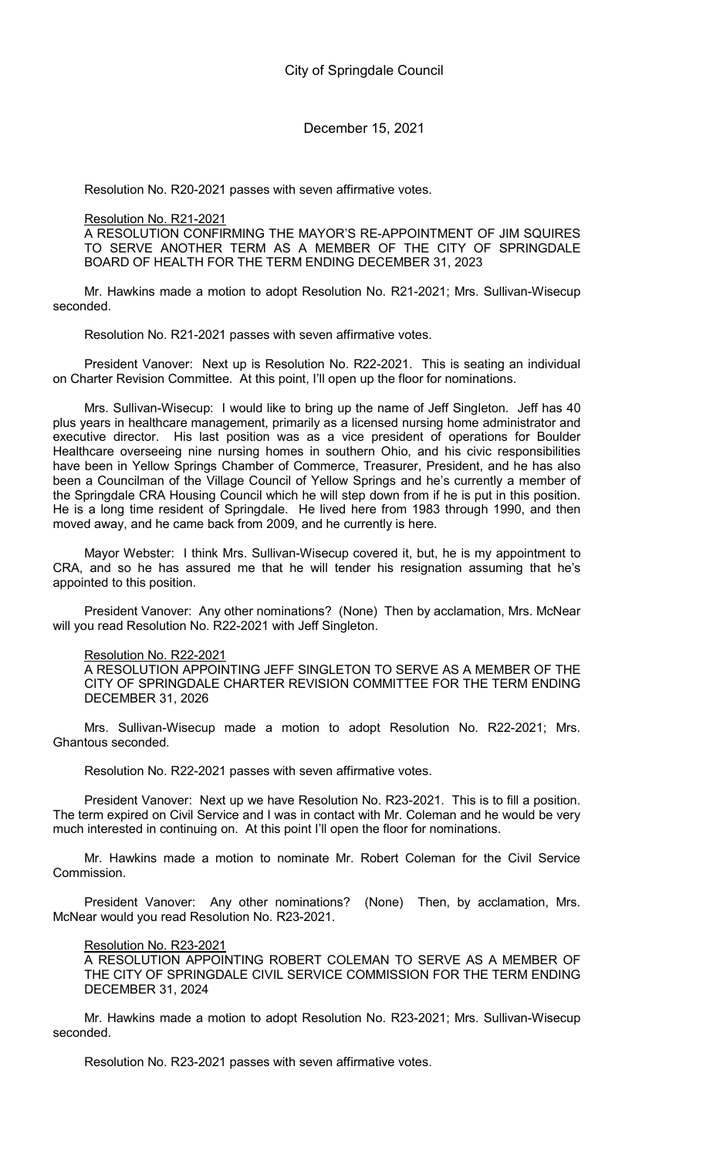Resolution No. R20-2021 passes with seven affirmative votes.

# Resolution No. R21-2021

A RESOLUTION CONFIRMING THE MAYOR'S RE-APPOINTMENT OF JIM SQUIRES TO SERVE ANOTHER TERM AS A MEMBER OF THE CITY OF SPRINGDALE BOARD OF HEALTH FOR THE TERM ENDING DECEMBER 31, 2023

Mr. Hawkins made a motion to adopt Resolution No. R21-2021; Mrs. Sullivan-Wisecup seconded.

Resolution No. R21-2021 passes with seven affirmative votes.

President Vanover: Next up is Resolution No. R22-2021. This is seating an individual on Charter Revision Committee. At this point, I'll open up the floor for nominations.

Mrs. Sullivan-Wisecup: I would like to bring up the name of Jeff Singleton. Jeff has 40 plus years in healthcare management, primarily as a licensed nursing home administrator and executive director. His last position was as a vice president of operations for Boulder Healthcare overseeing nine nursing homes in southern Ohio, and his civic responsibilities have been in Yellow Springs Chamber of Commerce, Treasurer, President, and he has also been a Councilman of the Village Council of Yellow Springs and he's currently a member of the Springdale CRA Housing Council which he will step down from if he is put in this position. He is a long time resident of Springdale. He lived here from 1983 through 1990, and then moved away, and he came back from 2009, and he currently is here.

Mayor Webster: I think Mrs. Sullivan-Wisecup covered it, but, he is my appointment to CRA, and so he has assured me that he will tender his resignation assuming that he's appointed to this position.

President Vanover: Any other nominations? (None) Then by acclamation, Mrs. McNear will you read Resolution No. R22-2021 with Jeff Singleton.

## Resolution No. R22-2021

A RESOLUTION APPOINTING JEFF SINGLETON TO SERVE AS A MEMBER OF THE CITY OF SPRINGDALE CHARTER REVISION COMMITTEE FOR THE TERM ENDING DECEMBER 31, 2026

Mrs. Sullivan-Wisecup made a motion to adopt Resolution No. R22-2021; Mrs. Ghantous seconded.

Resolution No. R22-2021 passes with seven affirmative votes.

President Vanover: Next up we have Resolution No. R23-2021. This is to fill a position. The term expired on Civil Service and I was in contact with Mr. Coleman and he would be very much interested in continuing on. At this point I'll open the floor for nominations.

Mr. Hawkins made a motion to nominate Mr. Robert Coleman for the Civil Service Commission.

President Vanover: Any other nominations? (None) Then, by acclamation, Mrs. McNear would you read Resolution No. R23-2021.

## Resolution No. R23-2021

A RESOLUTION APPOINTING ROBERT COLEMAN TO SERVE AS A MEMBER OF THE CITY OF SPRINGDALE CIVIL SERVICE COMMISSION FOR THE TERM ENDING DECEMBER 31, 2024

Mr. Hawkins made a motion to adopt Resolution No. R23-2021; Mrs. Sullivan-Wisecup seconded.

Resolution No. R23-2021 passes with seven affirmative votes.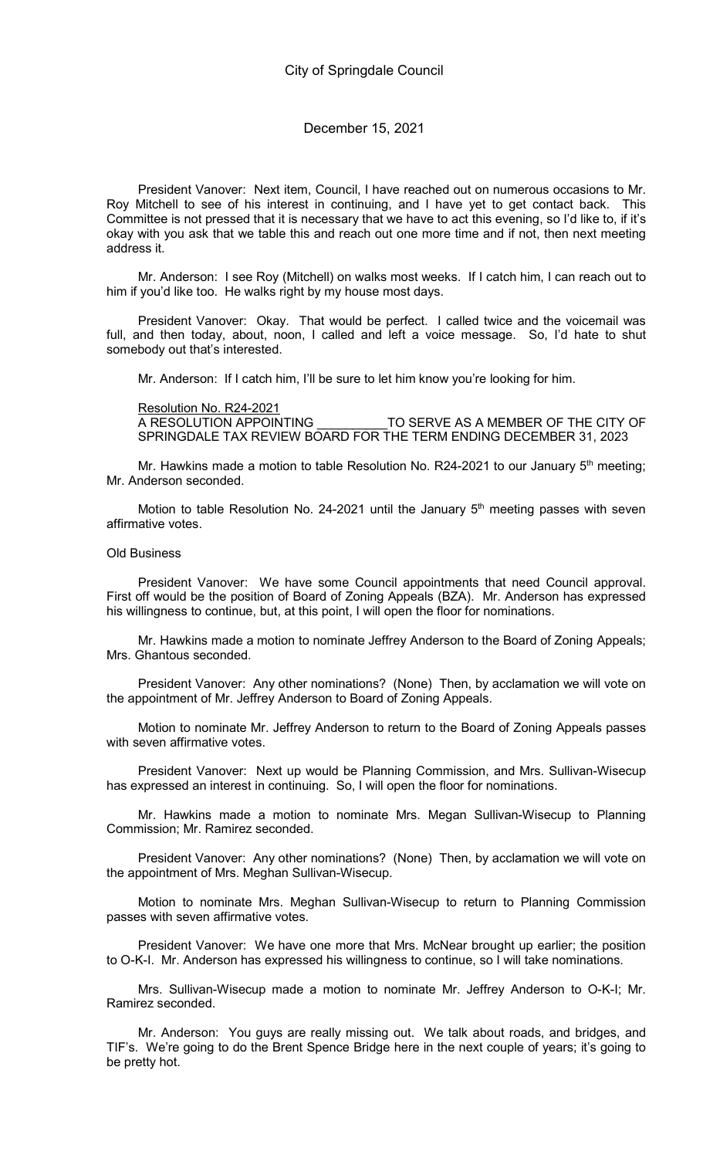President Vanover: Next item, Council, I have reached out on numerous occasions to Mr. Roy Mitchell to see of his interest in continuing, and I have yet to get contact back. This Committee is not pressed that it is necessary that we have to act this evening, so I'd like to, if it's okay with you ask that we table this and reach out one more time and if not, then next meeting address it.

Mr. Anderson: I see Roy (Mitchell) on walks most weeks. If I catch him, I can reach out to him if you'd like too. He walks right by my house most days.

President Vanover: Okay. That would be perfect. I called twice and the voicemail was full, and then today, about, noon, I called and left a voice message. So, I'd hate to shut somebody out that's interested.

Mr. Anderson: If I catch him, I'll be sure to let him know you're looking for him.

Resolution No. R24-2021<br>A RESOLUTION APPOINTING TO SERVE AS A MEMBER OF THE CITY OF SPRINGDALE TAX REVIEW BOARD FOR THE TERM ENDING DECEMBER 31, 2023

Mr. Hawkins made a motion to table Resolution No. R24-2021 to our January  $5<sup>th</sup>$  meeting; Mr. Anderson seconded.

Motion to table Resolution No. 24-2021 until the January  $5<sup>th</sup>$  meeting passes with seven affirmative votes.

#### Old Business

President Vanover: We have some Council appointments that need Council approval. First off would be the position of Board of Zoning Appeals (BZA). Mr. Anderson has expressed his willingness to continue, but, at this point, I will open the floor for nominations.

Mr. Hawkins made a motion to nominate Jeffrey Anderson to the Board of Zoning Appeals; Mrs. Ghantous seconded.

President Vanover: Any other nominations? (None) Then, by acclamation we will vote on the appointment of Mr. Jeffrey Anderson to Board of Zoning Appeals.

Motion to nominate Mr. Jeffrey Anderson to return to the Board of Zoning Appeals passes with seven affirmative votes.

President Vanover: Next up would be Planning Commission, and Mrs. Sullivan-Wisecup has expressed an interest in continuing. So, I will open the floor for nominations.

Mr. Hawkins made a motion to nominate Mrs. Megan Sullivan-Wisecup to Planning Commission; Mr. Ramirez seconded.

President Vanover: Any other nominations? (None) Then, by acclamation we will vote on the appointment of Mrs. Meghan Sullivan-Wisecup.

Motion to nominate Mrs. Meghan Sullivan-Wisecup to return to Planning Commission passes with seven affirmative votes.

President Vanover: We have one more that Mrs. McNear brought up earlier; the position to O-K-I. Mr. Anderson has expressed his willingness to continue, so I will take nominations.

Mrs. Sullivan-Wisecup made a motion to nominate Mr. Jeffrey Anderson to O-K-I; Mr. Ramirez seconded.

Mr. Anderson: You guys are really missing out. We talk about roads, and bridges, and TIF's. We're going to do the Brent Spence Bridge here in the next couple of years; it's going to be pretty hot.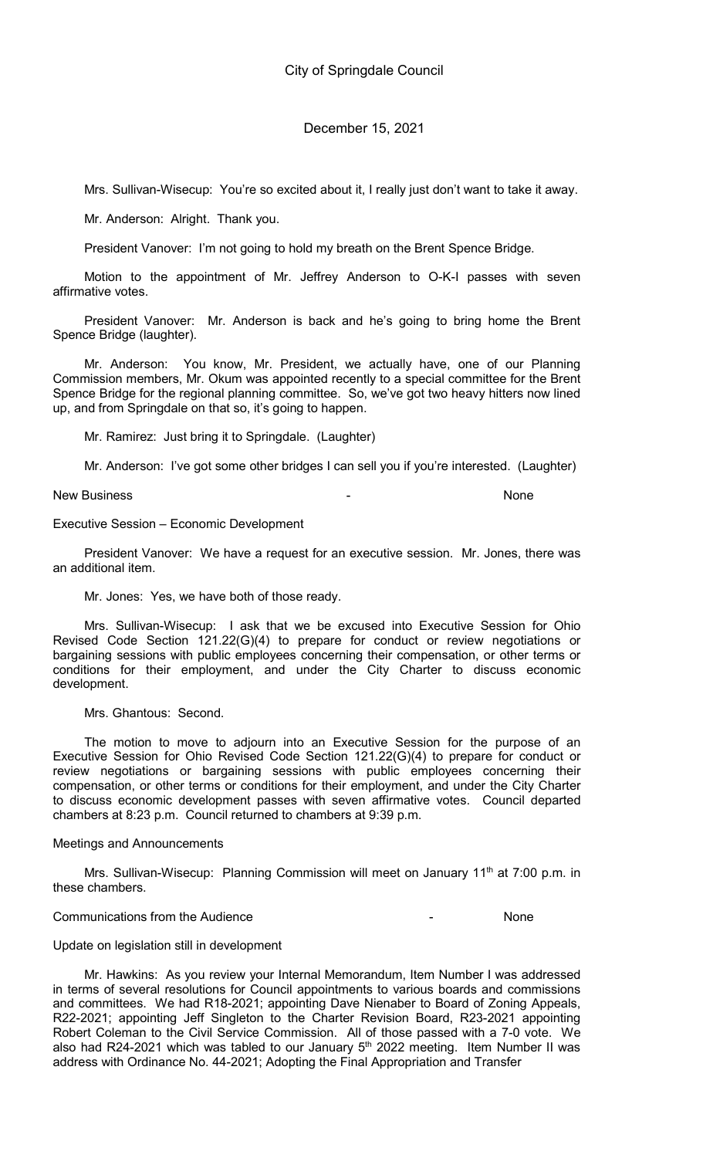Mrs. Sullivan-Wisecup: You're so excited about it, I really just don't want to take it away.

Mr. Anderson: Alright. Thank you.

President Vanover: I'm not going to hold my breath on the Brent Spence Bridge.

Motion to the appointment of Mr. Jeffrey Anderson to O-K-I passes with seven affirmative votes.

President Vanover: Mr. Anderson is back and he's going to bring home the Brent Spence Bridge (laughter).

Mr. Anderson: You know, Mr. President, we actually have, one of our Planning Commission members, Mr. Okum was appointed recently to a special committee for the Brent Spence Bridge for the regional planning committee. So, we've got two heavy hitters now lined up, and from Springdale on that so, it's going to happen.

Mr. Ramirez: Just bring it to Springdale. (Laughter)

Mr. Anderson: I've got some other bridges I can sell you if you're interested. (Laughter)

New Business and the new state of the new state of the None of the None of the None of the None of the None of the None of the None of the None of the None of the None of the None of the None of the None of the None of the

## Executive Session – Economic Development

President Vanover: We have a request for an executive session. Mr. Jones, there was an additional item.

Mr. Jones: Yes, we have both of those ready.

Mrs. Sullivan-Wisecup: I ask that we be excused into Executive Session for Ohio Revised Code Section 121.22(G)(4) to prepare for conduct or review negotiations or bargaining sessions with public employees concerning their compensation, or other terms or conditions for their employment, and under the City Charter to discuss economic development.

Mrs. Ghantous: Second.

The motion to move to adjourn into an Executive Session for the purpose of an Executive Session for Ohio Revised Code Section 121.22(G)(4) to prepare for conduct or review negotiations or bargaining sessions with public employees concerning their compensation, or other terms or conditions for their employment, and under the City Charter to discuss economic development passes with seven affirmative votes. Council departed chambers at 8:23 p.m. Council returned to chambers at 9:39 p.m.

## Meetings and Announcements

Mrs. Sullivan-Wisecup: Planning Commission will meet on January 11<sup>th</sup> at 7:00 p.m. in these chambers.

## Communications from the Audience - None

#### Update on legislation still in development

Mr. Hawkins: As you review your Internal Memorandum, Item Number I was addressed in terms of several resolutions for Council appointments to various boards and commissions and committees. We had R18-2021; appointing Dave Nienaber to Board of Zoning Appeals, R22-2021; appointing Jeff Singleton to the Charter Revision Board, R23-2021 appointing Robert Coleman to the Civil Service Commission. All of those passed with a 7-0 vote. We also had R24-2021 which was tabled to our January  $5<sup>th</sup>$  2022 meeting. Item Number II was address with Ordinance No. 44-2021; Adopting the Final Appropriation and Transfer